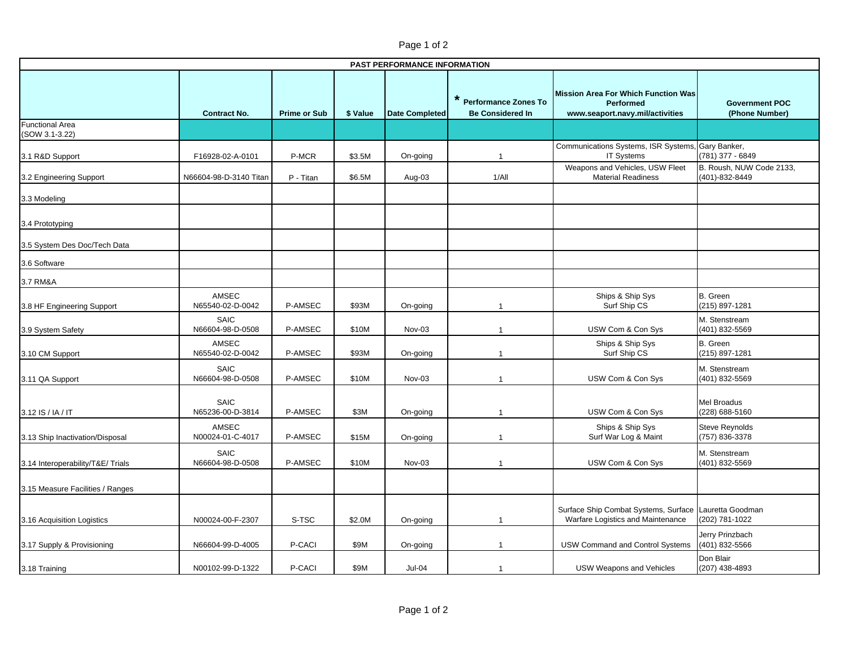| PAST PERFORMANCE INFORMATION             |                                 |                     |          |                       |                                                   |                                                                                                   |                                            |  |  |  |  |
|------------------------------------------|---------------------------------|---------------------|----------|-----------------------|---------------------------------------------------|---------------------------------------------------------------------------------------------------|--------------------------------------------|--|--|--|--|
|                                          | <b>Contract No.</b>             | <b>Prime or Sub</b> | \$ Value | <b>Date Completed</b> | * Performance Zones To<br><b>Be Considered In</b> | <b>Mission Area For Which Function Was</b><br><b>Performed</b><br>www.seaport.navy.mil/activities | <b>Government POC</b><br>(Phone Number)    |  |  |  |  |
| <b>Functional Area</b><br>(SOW 3.1-3.22) |                                 |                     |          |                       |                                                   |                                                                                                   |                                            |  |  |  |  |
| 3.1 R&D Support                          | F16928-02-A-0101                | P-MCR               | \$3.5M   | On-going              | $\overline{\phantom{a}}$                          | Communications Systems, ISR Systems, Gary Banker,<br><b>IT Systems</b>                            | (781) 377 - 6849                           |  |  |  |  |
| 3.2 Engineering Support                  | N66604-98-D-3140 Titan          | P - Titan           | \$6.5M   | Aug-03                | 1/All                                             | Weapons and Vehicles, USW Fleet<br><b>Material Readiness</b>                                      | B. Roush, NUW Code 2133,<br>(401)-832-8449 |  |  |  |  |
| 3.3 Modeling                             |                                 |                     |          |                       |                                                   |                                                                                                   |                                            |  |  |  |  |
| 3.4 Prototyping                          |                                 |                     |          |                       |                                                   |                                                                                                   |                                            |  |  |  |  |
| 3.5 System Des Doc/Tech Data             |                                 |                     |          |                       |                                                   |                                                                                                   |                                            |  |  |  |  |
| 3.6 Software                             |                                 |                     |          |                       |                                                   |                                                                                                   |                                            |  |  |  |  |
| 3.7 RM&A                                 |                                 |                     |          |                       |                                                   |                                                                                                   |                                            |  |  |  |  |
| 3.8 HF Engineering Support               | AMSEC<br>N65540-02-D-0042       | P-AMSEC             | \$93M    | On-going              |                                                   | Ships & Ship Sys<br>Surf Ship CS                                                                  | B. Green<br>(215) 897-1281                 |  |  |  |  |
| 3.9 System Safety                        | <b>SAIC</b><br>N66604-98-D-0508 | P-AMSEC             | \$10M    | Nov-03                |                                                   | USW Com & Con Sys                                                                                 | M. Stenstream<br>(401) 832-5569            |  |  |  |  |
| 3.10 CM Support                          | AMSEC<br>N65540-02-D-0042       | P-AMSEC             | \$93M    | On-going              | $\overline{1}$                                    | Ships & Ship Sys<br>Surf Ship CS                                                                  | B. Green<br>(215) 897-1281                 |  |  |  |  |
| 3.11 QA Support                          | <b>SAIC</b><br>N66604-98-D-0508 | P-AMSEC             | \$10M    | Nov-03                |                                                   | USW Com & Con Sys                                                                                 | M. Stenstream<br>(401) 832-5569            |  |  |  |  |
| 3.12 IS / IA / IT                        | SAIC<br>N65236-00-D-3814        | P-AMSEC             | \$3M     | On-going              |                                                   | USW Com & Con Sys                                                                                 | <b>Mel Broadus</b><br>(228) 688-5160       |  |  |  |  |
| 3.13 Ship Inactivation/Disposal          | AMSEC<br>N00024-01-C-4017       | P-AMSEC             | \$15M    | On-going              |                                                   | Ships & Ship Sys<br>Surf War Log & Maint                                                          | <b>Steve Reynolds</b><br>(757) 836-3378    |  |  |  |  |
| 3.14 Interoperability/T&E/ Trials        | <b>SAIC</b><br>N66604-98-D-0508 | P-AMSEC             | \$10M    | Nov-03                | -1                                                | USW Com & Con Sys                                                                                 | M. Stenstream<br>(401) 832-5569            |  |  |  |  |
| 3.15 Measure Facilities / Ranges         |                                 |                     |          |                       |                                                   |                                                                                                   |                                            |  |  |  |  |
| 3.16 Acquisition Logistics               | N00024-00-F-2307                | S-TSC               | \$2.0M   | On-going              | 1                                                 | Surface Ship Combat Systems, Surface Lauretta Goodman<br>Warfare Logistics and Maintenance        | (202) 781-1022                             |  |  |  |  |
| 3.17 Supply & Provisioning               | N66604-99-D-4005                | P-CACI              | \$9M     | On-going              | $\overline{\phantom{a}}$                          | <b>USW Command and Control Systems</b>                                                            | Jerry Prinzbach<br>(401) 832-5566          |  |  |  |  |
| 3.18 Training                            | N00102-99-D-1322                | P-CACI              | \$9M     | Jul-04                | $\mathbf{1}$                                      | <b>USW Weapons and Vehicles</b>                                                                   | Don Blair<br>(207) 438-4893                |  |  |  |  |